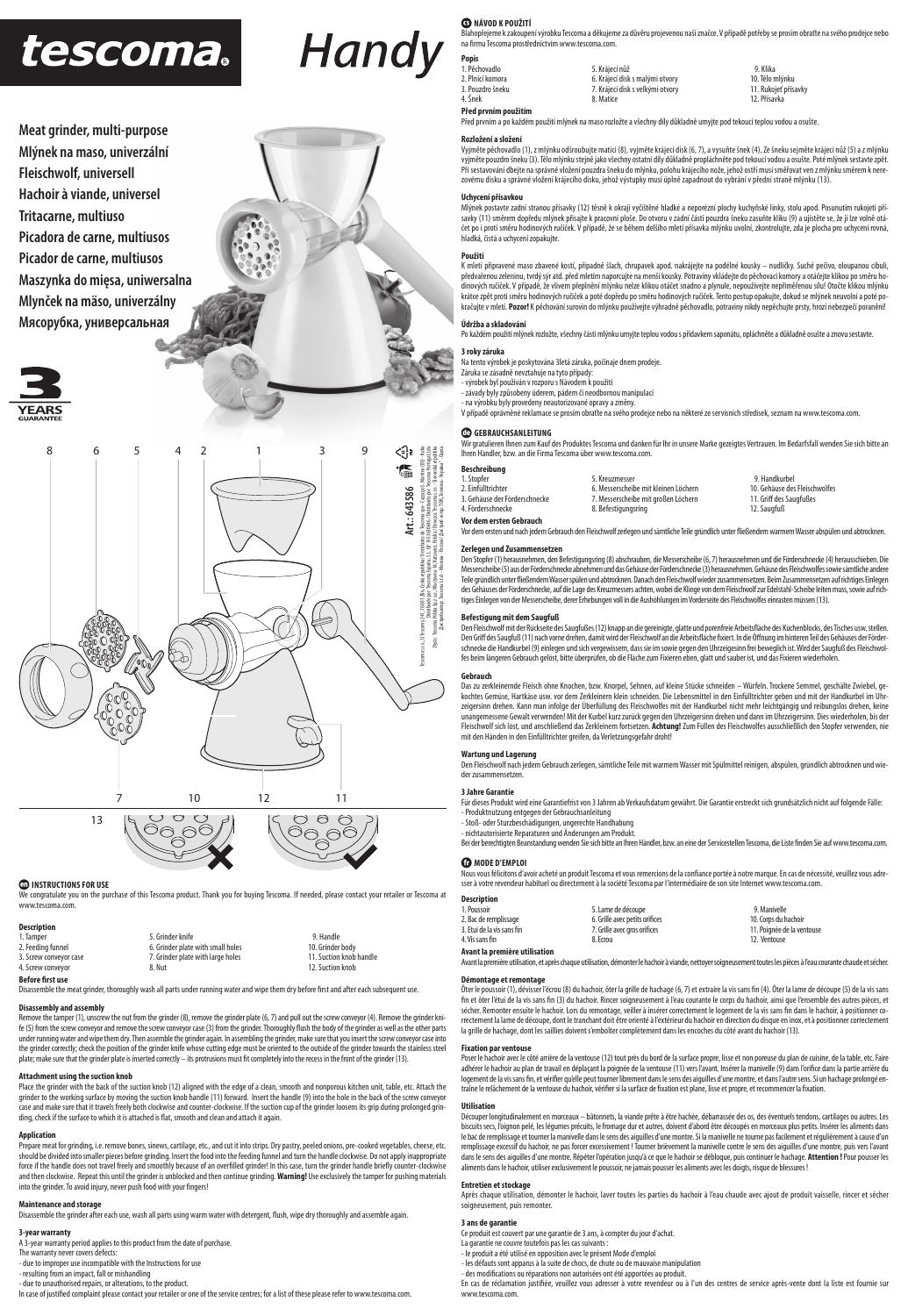# tescoma.

**Meat grinder, multi-purpose Mlýnek na maso, univerzální Fleischwolf, universell Hachoir à viande, universel Tritacarne, multiuso Picadora de carne, multiusos Picador de carne, multiusos Maszynka do mięsa, uniwersalna Mlynček na mäso, univerzálny Мясорубка, универсальная**





#### **ED INSTRUCTIONS FOR USE**

We congratulate you on the purchase of this Tescoma product. Thank you for buying Tescoma. If needed, please contact your retailer or Tescoma at www.tescoma.com.

| <b>Description</b>      |                                   |                         |
|-------------------------|-----------------------------------|-------------------------|
| 1. Tamper               | 5. Grinder knife                  | 9. Handle               |
| 2. Feeding funnel       | 6. Grinder plate with small holes | 10. Grinder body        |
| 3. Screw conveyor case  | 7. Grinder plate with large holes | 11. Suction knob handle |
| 4. Screw conveyor       | 8. Nut                            | 12. Suction knob        |
| <b>Before first use</b> |                                   |                         |

Disassemble the meat grinder, thoroughly wash all parts under running water and wipe them dry before first and after each subsequent use

#### **Disassembly and assembly**

ve the tamper (1), unscrew the nut from the grinder (8), remove the grinder plate (6, 7) and pull out the screw conveyor (4). Remo fe (5) from the screw conveyor and remove the screw conveyor case (3) from the grinder. Thoroughly flush the body of the grinder as well as the other parts under running water and wipe them dry. Then assemble the grinder again. In assembling the grinder, make sure that you insert the screw conveyor case into<br>the grinder correctly; check the position of the grinder knife whose plate; make sure that the grinder plate is inserted correctly – its protrusions must fit completely into the recess in the front of the grinder (13).

**Attachment using the suction knob**<br>Place the grinder with the back of the suction knob (12) aligned with the edge of a clean, smooth and nonporous kitchen unit, table, etc. Attach the<br>grinder to the working surface by mov case and make sure that it travels freely both clockwise and counter-clockwise. If the suction cup of the grinder loosens its grip during prolonged grinding, check if the surface to which it is attached is flat, smooth and clean and attach it again.

### **Application**

Prepare meat for grinding, i.e. remove bones, sinews, cartilage, etc., and cut it into strips. Dry pastry, peeled onions, pre-cooked vegetables, cheese, etc. should be divided into smaller pieces before grinding. Insert the food into the feeding funnel and turn the handle clockwise. Do not apply inappropriate<br>force if the handle does not travel freely and smoothly because of an and then clockwise. Repeat this until the grinder is unblocked and then continue grinding. **Warning!** Use exclusively the tamper for pushing materials into the grinder. To avoid injury, never push food with your fingers!

**Maintenance and storage**<br>Disassemble the grinder after each use, wash all parts using warm water with detergent, flush, wipe dry thoroughly and assemble again.

### **3-year warranty**

A 3-year warranty period applies to this product from the date of purchase.

The warranty never covers defects: - due to improper use incompatible with the Instructions for use

- resulting from an impact, fall or mishandling

- due to unauthorised repairs, or alterations, to the product.<br>In case of justified complaint please contact your retailer or one of the service centres; for a list of these please refer to www.tescoma.com.

### **G** NÁVOD K POUŽITÍ

Blahopřejeme k zakoupení výrobku Tescoma a děkujeme za důvěru projevenou naší značce. V případě potřeby se prosím obraťte na svého prodejce nebo<br>na firmu Tescoma prostřednictvím www.tescoma.com.

| <b>Popis</b>     |                                  |                      |
|------------------|----------------------------------|----------------------|
| 1. Pěchovadlo    | 5. Krájecí nůž                   | 9. Klika             |
| 2. Plnicí komora | 6. Krájecí disk s malými otvory  | 10. Tělo mlýnku      |
| 3. Pouzdro šneku | 7. Krájecí disk s velkými otvory | 11. Rukojeť přísavky |
| 4. Šnek          | 8. Matice                        | 12. Přísavka         |
| $-1$<br>$\cdots$ |                                  |                      |

**Před prvním použitím** rvním a po každém použití mlýnek na maso rozložte a všechny díly důkladně umyjte pod tekoucí teplou vodou a osušte

#### **Rozložení a složení**

**Popis**<br>1 Pěchova

Handy

Vyjměte pěchovadlo (1), z mlýnku odšroubujte matici (8), vyjměte krájecí disk (6, 7), a vysuňte šnek (4). Ze šneku sejměte krájecí nůž (5) a z mlýnku vyjměte pouzdro šneku (3). Tělo mlýnku stejně jako všechny ostatní díly důkladně propláchněte pod tekoucí vodou a osušte. Poté mlýnek sestavte zpět. Při sestavování dbejte na správné vložení pouzdra šneku do mlýnku, polohu krájecího nože, jehož ostří musí směřovat ven z mlýnku směrem k nere-<br>zovému disku a správné vložení krájecího disku, jehož výstupky musí úplně zapa

#### **Uchycení přísavkou**

Mlýnek postavte zadní stranou přísavky (12) těsně k okraji vyčištěné hladké a neporézní plochy kuchyňské linky, stolu apod. Posunutím rukojeti přísavky (11) směrem dopředu mlýnek přisajte k pracovní ploše. Do otvoru v zadní části pouzdra šneku zasuňte kliku (9) a ujstěte se, že jí lze volně otá-<br>čet po i proti směru hodinových ručiček. V případě, že se během delšího hladká, čistá a uchycení zopakujte.

#### **Použití**

K mletí připravené maso zbavené kostí, případně šlach, chrupavek apod. nakrájejte na podélné kousky – nudličky. Suché pečivo, oloupanou cibuli,<br>předvařenou zeleninu, tvrdý sýr atd. před mletím naporcujte na menší kousky. P krátce zpět proti směru hodinových ručiček a poté dopředu po směru hodinových ručiček. Tento postuje, dokud se mlýnek neuvolní a poté po-<br>kračujte v mletí. **Pozor!** K pěchování surovin do mlýnku používejte výhradně pěchova

#### **Údržba a skladování**

Po každém použití mlýnek rozložte, všechny části mlýnku umyjte teplou vodou s přídavkem saponátu, opláchněte a důkladně osušte a znovu sestavte.

#### **3 roky záruka**

Na tento výrobek je poskytována 3letá záruka, počínaje dnem prodeje.

## Záruka se zásadně nevztahuje na tyto případy: - výrobek byl používán v rozporu s Návodem k použití

- závady byly způsobeny úderem, pádem či neodbornou manipulací<br>- na výrobku byly provedeny neautorizované opravy a změny.<br>V případě oprávněné reklamace se prosím obratte na svého prodejce nebo na některé ze servisních stře

#### **CO** GERRAUCHSANLEITUNG

Wir gratulieren Ihnen zum Kauf des Produktes Tescoma und danken für Ihr in unsere Marke gezeigtes Vertrauen. Im Bedarfsfall wenden Sie sich bitte an Ihren Händler, bzw. an die Firma Tescoma über www.tescoma.com.

| Beschreibung                  |                                      |                               |
|-------------------------------|--------------------------------------|-------------------------------|
| 1. Stopfer                    | 5. Kreuzmesser                       | 9. Handkurbel                 |
| 2. Einfülltrichter            | 6. Messerscheibe mit kleinen Löchern | 10. Gehäuse des Fleischwolfes |
| 3. Gehäuse der Förderschnecke | 7. Messerscheibe mit großen Löchern  | 11. Griff des Saugfußes       |
| 4. Förderschnecke             | 8. Befestigungsring                  | 12. Saugfuß                   |
| Vor dem ersten Gebrauch       |                                      |                               |

Vor dem ersten und nach jedem Gebrauch den Fleischwolf zerlegen und sämtliche Teile gründlich unter fl ießendem warmem Wasser abspülen und abtrocknen.

#### **Zerlegen und Zusammensetzen**

Den Stopfer (1) herausnehmen, den Befestigungsring (8) abschrauben, die Messerscheibe (6, 7) herausnehmen und die Förderschnecke (4) herausschieben. Die Messerscheibe (5) aus der Förderschnecke abnehmen und das Gehäuse der Förderschnecke (3) herausnehmen. Gehäuse des Fleischwolfes sowie sämtliche andere<br>Teile gründlich unter fließendem Wasser spülen und abtrocknen. Danach des Gehäuses der Förderschnecke, auf die Lage des Kreuzmessers achten, wobei die Klinge von dem Fleischwolf zur Edelstahl-Scheibe leiten muss, sowie auf rich-<br>tiges Einlegen von der Messerscheibe, derer Erhebungen voll in

**Befestigung mit dem Saugfuß**<br>Den Fleischwolf mit de**m** Gaugfußes (12) knapp an die gereinigte, glatte und porenfreie Arbeitsfläche des Küchenblocks, des Tisches usw. stellen.<br>Den Griff des Saugfuß (11) nach vorne drehen,

**Gebrauch**<br>Das zu zerkleinernde Fleisch ohne Knochen, bzw. Knorpel, Sehnen, auf kleine Stücke schneiden – Würfeln. Trockene Semmel, geschälte Zwiebel, gekochtes Gemüse, Hartkäse usw. vor dem Zerkleinern klein schneiden. Die Lebensmittel in den Einfülltrichter geben und mit der Handkurbel im Uhr-<br>zeigersinn drehen. Kann man infolge der Überfüllung des Fleischwolfes mit der unangemessene Gewalt verwenden! Mit der Kurbel kurz zurück gegen den Uhrzeigersinn drehen und dann im Uhrzeigersinn. Dies wiederholen, bis der<br>Fleischwolf sich löst, und anschließend das Zerkleinern fortsetzen. **Achtung!** mit den Händen in den Einfülltrichter greifen, da Verletzungsgefahr droht!

#### **Wartung und Lagerung**

Den Fleischwolf nach jedem Gebrauch zerlegen, sämtliche Teile mit warmem Wasser mit Spülmittel reinigen, abspülen, gründlich abtrocknen und wieder zusammensetzen.

#### **3 Jahre Garantie**

Für dieses Produkt wird eine Garantiefrist von 3 Jahren ab Verkaufsdatum gewährt. Die Garantie erstreckt sich grundsätzlich nicht auf folgende Fälle: - Produktnutzung entgegen der Gebrauchsanleitung<br>- Stoß- oder Sturzbeschädigungen, ungerechte Handhabung<br>- nichtautorisierte Reparaturen und Änderungen am Produkt.<br>Bei der berechtigten Beanstandung wenden Sie sich bitte an

# $\bullet$  MODE D'EMPLOI

Nous vous félicitons d'avoir acheté un produit Tescoma et vous remercions de la confiance portée à notre marque. En cas de nécessité, veuillez vous adresser à votre revendeur habituel ou directement à la société Tescoma par l'intermédiaire de son site Internet www.tescoma.com.

| Description                |                                |                            |
|----------------------------|--------------------------------|----------------------------|
| 1. Poussoir                | 5. Lame de découpe             | 9. Manivelle               |
| 2. Bac de remplissage      | 6. Grille avec petits orifices | 10. Corps du hachoir       |
| 3. Etui de la vis sans fin | 7. Grille avec gros orifices   | 11. Poignée de la ventouse |
| 4. Vis sans fin            | 8. Ecrou                       | 12. Ventouse               |

#### **Avant la première utilisation** Avant la première utilisation, et après chaque utilisation, démonter le hachoir à viande, nettoyer soigneusement toutes les pièces à l'eau courante chaude et sécher.

**Démontage et remontage**

Öter le poussoir (1), dévisser l'écrou (8) du hachoir, ôter la grille de hachage (6, 7) et extraire la vis ans<br>fin et ôter l'étui de la vis sans fin (3) du hachoir. Rincer soigneusement à l'eau courante le orps du hachoi,<br> rrectement la lame de découpe, dont le tranchant doit être orienté à l'extérieur du hachoir en direction du disque en inox, et à positionner correctement<br>la grille de hachage, dont les saillies doivent s'emboîter complètem

#### **Fixation par ventous**

Poser le hachoir avec le côté arrière de la ventouse (12) tout près du bord de la surface propre, lisse et non poreuse du plan de cuisine, de la table, etc. Faire adhérer le hachoir au plan de travail en déplaçant la poignée de la ventouse (11) vers l'avant. Inséer la manivelle (9) dans l'orifice dans la partie arrière du<br>logement de la vis sans fin, et vérifier qu'elle peut tourner

#### **Utilisation**

Découper longitudinalement en morceaux – bâtonnets, la viande prête à être hachée, débarrassée des os, des éventuels tendons, cartilages ou autres. Les biscuits secs, l'oignon pelé, les légumes précuits, le fromage dur et autres, doivent d'abord être découpés en morceaux plus petits. Insérer les aliments dans<br>le bac de remplissage et tourner la manivelle dans le sens des remplissage excessif du hachoir, ne pas forcer excessivement ! Tourner brièvement la manivelle contre le sens des aiguilles d'une montre, puis vers l'avant dans le sens des aiguilles d'une montre. Répéter l'opération jusqu'à ce que le hachoir se débloque, puis continuer le hachage. **Attention !** Pour pousser les<br>aliments dans le hachoir, utiliser exclusivement le poussoir, ne

#### **Entretien et stockage**

Après chaque utilisation, démonter le hachoir, laver toutes les parties du hachoir à l'eau chaude avec ajout de produit vaisselle, rincer et sécher soigneusement, puis remonter.

#### **3 ans de garantie**

Ce produit est couvert par une garantie de 3 ans, à compter du jour d'achat.

- La garantie ne couvre toutefois pas les cas suivants :
- 
- le produit a été utilisé en opposition avec le présent Mode d'emploi les défauts sont apparus à la suite de chocs, de chute ou de mauvaise manipulation
- des modifi cations ou réparations non autorisées ont été apportées au produit.

En cas de réclamation justifiée, veuillez vous adresser à votre revendeur ou à l'un des centres de service après-vente dont la liste est fournie sur www.tescoma.com.